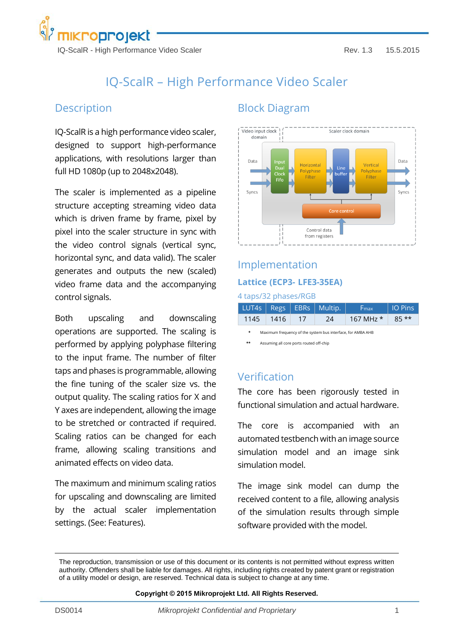

# IQ-ScalR – High Performance Video Scaler

## **Description**

IQ-ScalR is a high performance video scaler, designed to support high-performance applications, with resolutions larger than full HD 1080p (up to 2048x2048).

The scaler is implemented as a pipeline structure accepting streaming video data which is driven frame by frame, pixel by pixel into the scaler structure in sync with the video control signals (vertical sync, horizontal sync, and data valid). The scaler generates and outputs the new (scaled) video frame data and the accompanying control signals.

Both upscaling and downscaling operations are supported. The scaling is performed by applying polyphase filtering to the input frame. The number of filter taps and phases is programmable, allowing the fine tuning of the scaler size vs. the output quality. The scaling ratios for X and Y axes are independent, allowing the image to be stretched or contracted if required. Scaling ratios can be changed for each frame, allowing scaling transitions and animated effects on video data.

The maximum and minimum scaling ratios for upscaling and downscaling are limited by the actual scaler implementation settings. (See: Features).

## Block Diagram



# Implementation **Lattice (ECP3- LFE3-35EA)**

#### 4 taps/32 phases/RGB

|             |  | LUT4s   Regs   EBRs   Multip. | ⊦F <sub>max</sub>          | O Pins |
|-------------|--|-------------------------------|----------------------------|--------|
| $1145$ 1416 |  | 24                            | $167 \text{ MHz}$ * 85 * * |        |

**\*** Maximum frequency of the system bus interface, for AMBA AHB

**\*\*** Assuming all core ports routed off-chip

### Verification

The core has been rigorously tested in functional simulation and actual hardware.

The core is accompanied with an automated testbench with an image source simulation model and an image sink simulation model.

The image sink model can dump the received content to a file, allowing analysis of the simulation results through simple software provided with the model.

**Copyright © 2015 Mikroprojekt Ltd. All Rights Reserved.**

The reproduction, transmission or use of this document or its contents is not permitted without express written authority. Offenders shall be liable for damages. All rights, including rights created by patent grant or registration of a utility model or design, are reserved. Technical data is subject to change at any time.